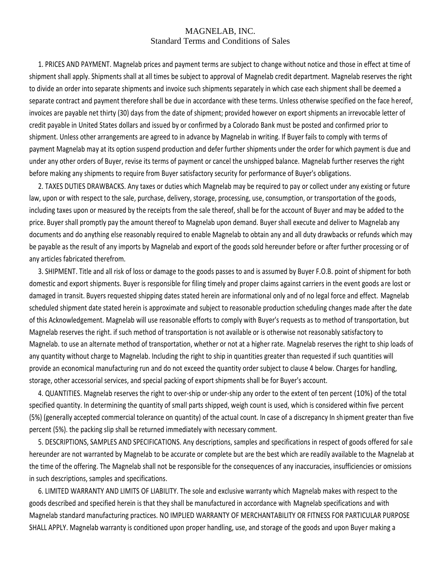## MAGNELAB, INC. Standard Terms and Conditions of Sales

1. PRICES AND PAYMENT. Magnelab prices and payment terms are subject to change without notice and those in effect at time of shipment shall apply. Shipments shall at all times be subject to approval of Magnelab credit department. Magnelab reserves the right to divide an order into separate shipments and invoice such shipments separately in which case each shipment shall be deemed a separate contract and payment therefore shall be due in accordance with these terms. Unless otherwise specified on the face hereof, invoices are payable net thirty (30) days from the date of shipment; provided however on export shipments an irrevocable letter of credit payable in United States dollars and issued by or confirmed by a Colorado Bank must be posted and confirmed prior to shipment. Unless other arrangements are agreed to in advance by Magnelab in writing. If Buyer fails to comply with terms of payment Magnelab may at its option suspend production and defer further shipments under the order for which payment is due and under any other orders of Buyer, revise its terms of payment or cancel the unshipped balance. Magnelab further reserves the right before making any shipments to require from Buyer satisfactory security for performance of Buyer's obligations.

2. TAXES DUTIES DRAWBACKS. Any taxes or duties which Magnelab may be required to pay or collect under any existing or future law, upon or with respect to the sale, purchase, delivery, storage, processing, use, consumption, or transportation of the goods, including taxes upon or measured by the receipts from the sale thereof, shall be for the account of Buyer and may be added to the price. Buyer shall promptly pay the amount thereof to Magnelab upon demand. Buyer shall execute and deliver to Magnelab any documents and do anything else reasonably required to enable Magnelab to obtain any and all duty drawbacks or refunds which may be payable as the result of any imports by Magnelab and export of the goods sold hereunder before or after further processing or of any articles fabricated therefrom.

3. SHIPMENT. Title and all risk of loss or damage to the goods passes to and is assumed by Buyer F.O.B. point of shipment for both domestic and export shipments. Buyer is responsible for filing timely and proper claims against carriers in the event goods are lost or damaged in transit. Buyers requested shipping dates stated herein are informational only and of no legal force and effect. Magnelab scheduled shipment date stated herein is approximate and subject to reasonable production scheduling changes made after the date of this Acknowledgement. Magnelab will use reasonable efforts to comply with Buyer's requests as to method of transportation, but Magnelab reserves the right. if such method of transportation is not available or is otherwise not reasonably satisfactory to Magnelab. to use an alternate method of transportation, whether or not at a higher rate. Magnelab reserves the right to ship loads of any quantity without charge to Magnelab. Including the right to ship in quantities greater than requested if such quantities will provide an economical manufacturing run and do not exceed the quantity order subject to clause 4 below. Charges for handling, storage, other accessorial services, and special packing of export shipments shall be for Buyer's account.

4. QUANTITIES. Magnelab reserves the right to over-ship or under-ship any order to the extent of ten percent (10%) of the total specified quantity. In determining the quantity of small parts shipped, weigh count is used, which is considered within five percent (5%) (generally accepted commercial tolerance on quantity) of the actual count. In case of a discrepancy In shipment greater than five percent (5%). the packing slip shall be returned immediately with necessary comment.

5. DESCRIPTIONS, SAMPLES AND SPECIFICATIONS. Any descriptions, samples and specifications in respect of goods offered for sale hereunder are not warranted by Magnelab to be accurate or complete but are the best which are readily available to the Magnelab at the time of the offering. The Magnelab shall not be responsible for the consequences of any inaccuracies, insufficiencies or omissions in such descriptions, samples and specifications.

6. LIMITED WARRANTY AND LIMITS OF LIABILITY. The sole and exclusive warranty which Magnelab makes with respect to the goods described and specified herein is that they shall be manufactured in accordance with Magnelab specifications and with Magnelab standard manufacturing practices. NO IMPLIED WARRANTY OF MERCHANTABILITY OR FITNESS FOR PARTICULAR PURPOSE SHALL APPLY. Magnelab warranty is conditioned upon proper handling, use, and storage of the goods and upon Buyer making a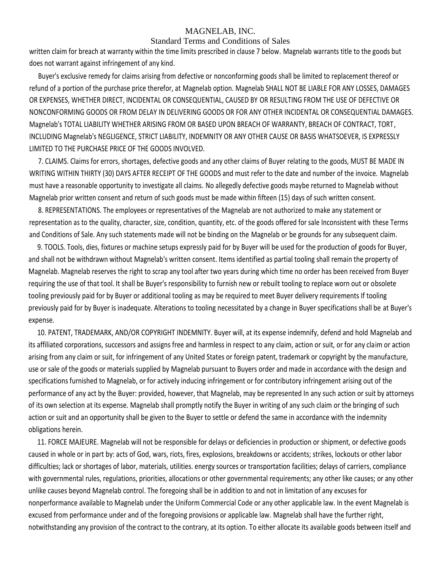## MAGNELAB, INC.

#### Standard Terms and Conditions of Sales

written claim for breach at warranty within the time limits prescribed in clause 7 below. Magnelab warrants title to the goods but does not warrant against infringement of any kind.

Buyer's exclusive remedy for claims arising from defective or nonconforming goods shall be limited to replacement thereof or refund of a portion of the purchase price therefor, at Magnelab option. Magnelab SHALL NOT BE LIABLE FOR ANY LOSSES, DAMAGES OR EXPENSES, WHETHER DIRECT, INCIDENTAL OR CONSEQUENTIAL, CAUSED BY OR RESULTING FROM THE USE OF DEFECTIVE OR NONCONFORMING GOODS OR FROM DELAY IN DELIVERING GOODS OR FOR ANY OTHER INCIDENTAL OR CONSEQUENTIAL DAMAGES. Magnelab's TOTAL LIABILITY WHETHER ARISING FROM OR BASED UPON BREACH OF WARRANTY, BREACH OF CONTRACT, TORT, INCLUDING Magnelab's NEGLIGENCE, STRICT LIABILITY, INDEMNITY OR ANY OTHER CAUSE OR BASIS WHATSOEVER, IS EXPRESSLY LIMITED TO THE PURCHASE PRICE OF THE GOODS INVOLVED.

7. CLAIMS. Claims for errors, shortages, defective goods and any other claims of Buyer relating to the goods, MUST BE MADE IN WRITING WITHIN THIRTY (30) DAYS AFTER RECEIPT OF THE GOODS and must refer to the date and number of the invoice. Magnelab must have a reasonable opportunity to investigate all claims. No allegedly defective goods maybe returned to Magnelab without Magnelab prior written consent and return of such goods must be made within fifteen (15) days of such written consent.

8. REPRESENTATIONS. The employees or representatives of the Magnelab are not authorized to make any statement or representation as to the quality, character, size, condition, quantity, etc. of the goods offered for sale Inconsistent with these Terms and Conditions of Sale. Any such statements made will not be binding on the Magnelab or be grounds for any subsequent claim.

9. TOOLS. Tools, dies, fixtures or machine setups expressly paid for by Buyer will be used for the production of goods for Buyer, and shall not be withdrawn without Magnelab's written consent. Items identified as partial tooling shall remain the property of Magnelab. Magnelab reserves the right to scrap any tool after two years during which time no order has been received from Buyer requiring the use of that tool. It shall be Buyer's responsibility to furnish new or rebuilt tooling to replace worn out or obsolete tooling previously paid for by Buyer or additional tooling as may be required to meet Buyer delivery requirements If tooling previously paid for by Buyer is inadequate. Alterations to tooling necessitated by a change in Buyer specifications shall be at Buyer's expense.

10. PATENT, TRADEMARK, AND/OR COPYRIGHT INDEMNITY. Buyer will, at its expense indemnify, defend and hold Magnelab and its affiliated corporations, successors and assigns free and harmless in respect to any claim, action or suit, or for any claim or action arising from any claim or suit, for infringement of any United States or foreign patent, trademark or copyright by the manufacture, use or sale of the goods or materials supplied by Magnelab pursuant to Buyers order and made in accordance with the design and specifications furnished to Magnelab, or for actively inducing infringement or for contributory infringement arising out of the performance of any act by the Buyer: provided, however, that Magnelab, may be represented In any such action or suit by attorneys of its own selection at its expense. Magnelab shall promptly notify the Buyer in writing of any such claim or the bringing of such action or suit and an opportunity shall be given to the Buyer to settle or defend the same in accordance with the indemnity obligations herein.

11. FORCE MAJEURE. Magnelab will not be responsible for delays or deficiencies in production or shipment, or defective goods caused in whole or in part by: acts of God, wars, riots, fires, explosions, breakdowns or accidents; strikes, lockouts or other labor difficulties; lack or shortages of labor, materials, utilities. energy sources or transportation facilities; delays of carriers, compliance with governmental rules, regulations, priorities, allocations or other governmental requirements; any other like causes; or any other unlike causes beyond Magnelab control. The foregoing shall be in addition to and not in limitation of any excuses for nonperformance available to Magnelab under the Uniform Commercial Code or any other applicable law. In the event Magnelab is excused from performance under and of the foregoing provisions or applicable law. Magnelab shall have the further right, notwithstanding any provision of the contract to the contrary, at its option. To either allocate its available goods between itself and